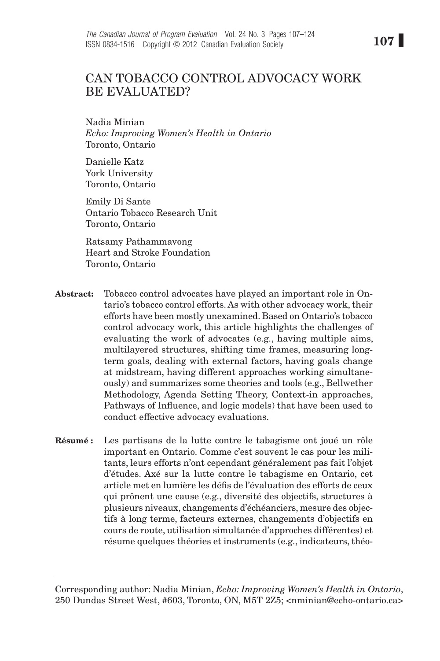# Can tobacco control advocacy work BE EVALUATED?

Nadia Minian *Echo: Improving Women's Health in Ontario* Toronto, Ontario

Danielle Katz York University Toronto, Ontario

Emily Di Sante Ontario Tobacco Research Unit Toronto, Ontario

Ratsamy Pathammavong Heart and Stroke Foundation Toronto, Ontario

- Abstract: Tobacco control advocates have played an important role in Ontario's tobacco control efforts. As with other advocacy work, their efforts have been mostly unexamined. Based on Ontario's tobacco control advocacy work, this article highlights the challenges of evaluating the work of advocates (e.g., having multiple aims, multilayered structures, shifting time frames, measuring longterm goals, dealing with external factors, having goals change at midstream, having different approaches working simultaneously) and summarizes some theories and tools (e.g., Bellwether Methodology, Agenda Setting Theory, Context-in approaches, Pathways of Influence, and logic models) that have been used to conduct effective advocacy evaluations.
- Résumé : Les partisans de la lutte contre le tabagisme ont joué un rôle important en Ontario. Comme c'est souvent le cas pour les militants, leurs efforts n'ont cependant généralement pas fait l'objet d'études. Axé sur la lutte contre le tabagisme en Ontario, cet article met en lumière les défis de l'évaluation des efforts de ceux qui prônent une cause (e.g., diversité des objectifs, structures à plusieurs niveaux, changements d'échéanciers, mesure des objectifs à long terme, facteurs externes, changements d'objectifs en cours de route, utilisation simultanée d'approches différentes) et résume quelques théories et instruments (e.g., indicateurs, théo-

Corresponding author: Nadia Minian, *Echo: Improving Women's Health in Ontario*, 250 Dundas Street West, #603, Toronto, ON, M5T 2Z5; <nminian@echo-ontario.ca>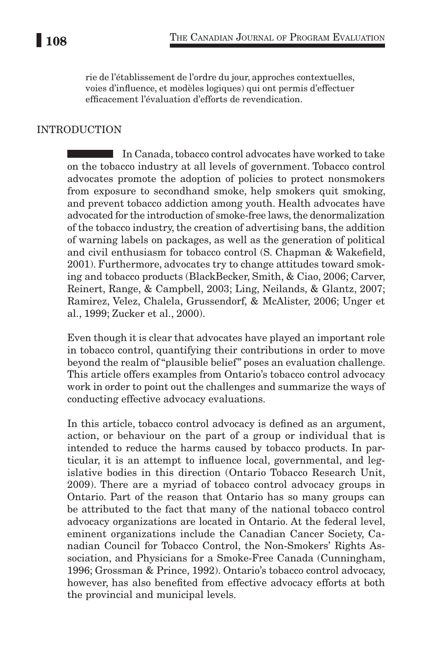rie de l'établissement de l'ordre du jour, approches contextuelles, voies d'influence, et modèles logiques) qui ont permis d'effectuer efficacement l'évaluation d'efforts de revendication.

#### **INTRODUCTION**

In Canada, tobacco control advocates have worked to take on the tobacco industry at all levels of government. Tobacco control advocates promote the adoption of policies to protect nonsmokers from exposure to secondhand smoke, help smokers quit smoking, and prevent tobacco addiction among youth. Health advocates have advocated for the introduction of smoke-free laws, the denormalization of the tobacco industry, the creation of advertising bans, the addition of warning labels on packages, as well as the generation of political and civil enthusiasm for tobacco control (S. Chapman & Wakefield, 2001). Furthermore, advocates try to change attitudes toward smoking and tobacco products (BlackBecker, Smith, & Ciao, 2006; Carver, Reinert, Range, & Campbell, 2003; Ling, Neilands, & Glantz, 2007; Ramirez, Velez, Chalela, Grussendorf, & McAlister, 2006; Unger et al., 1999; Zucker et al., 2000).

Even though it is clear that advocates have played an important role in tobacco control, quantifying their contributions in order to move beyond the realm of "plausible belief" poses an evaluation challenge. This article offers examples from Ontario's tobacco control advocacy work in order to point out the challenges and summarize the ways of conducting effective advocacy evaluations.

In this article, tobacco control advocacy is defined as an argument, action, or behaviour on the part of a group or individual that is intended to reduce the harms caused by tobacco products. In particular, it is an attempt to influence local, governmental, and legislative bodies in this direction (Ontario Tobacco Research Unit, 2009). There are a myriad of tobacco control advocacy groups in Ontario. Part of the reason that Ontario has so many groups can be attributed to the fact that many of the national tobacco control advocacy organizations are located in Ontario. At the federal level, eminent organizations include the Canadian Cancer Society, Canadian Council for Tobacco Control, the Non-Smokers' Rights Association, and Physicians for a Smoke-Free Canada (Cunningham, 1996; Grossman & Prince, 1992). Ontario's tobacco control advocacy, however, has also benefited from effective advocacy efforts at both the provincial and municipal levels.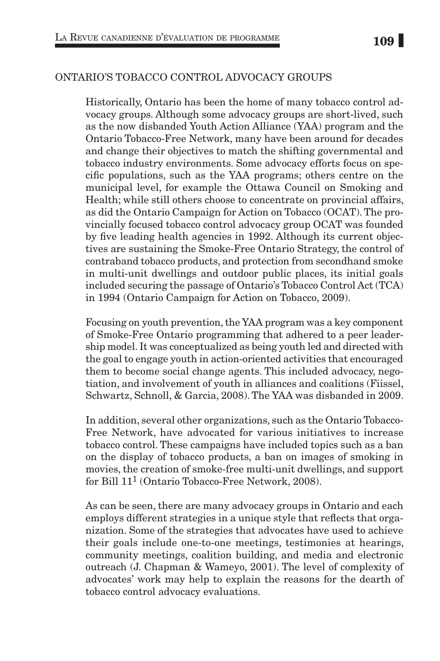### Ontario's Tobacco Control Advocacy Groups

Historically, Ontario has been the home of many tobacco control advocacy groups. Although some advocacy groups are short-lived, such as the now disbanded Youth Action Alliance (YAA) program and the Ontario Tobacco-Free Network, many have been around for decades and change their objectives to match the shifting governmental and tobacco industry environments. Some advocacy efforts focus on specific populations, such as the YAA programs; others centre on the municipal level, for example the Ottawa Council on Smoking and Health; while still others choose to concentrate on provincial affairs, as did the Ontario Campaign for Action on Tobacco (OCAT). The provincially focused tobacco control advocacy group OCAT was founded by five leading health agencies in 1992. Although its current objectives are sustaining the Smoke-Free Ontario Strategy, the control of contraband tobacco products, and protection from secondhand smoke in multi-unit dwellings and outdoor public places, its initial goals included securing the passage of Ontario's Tobacco Control Act (TCA) in 1994 (Ontario Campaign for Action on Tobacco, 2009).

Focusing on youth prevention, the YAA program was a key component of Smoke-Free Ontario programming that adhered to a peer leadership model. It was conceptualized as being youth led and directed with the goal to engage youth in action-oriented activities that encouraged them to become social change agents. This included advocacy, negotiation, and involvement of youth in alliances and coalitions (Fiissel, Schwartz, Schnoll, & Garcia, 2008). The YAA was disbanded in 2009.

In addition, several other organizations, such as the Ontario Tobacco-Free Network, have advocated for various initiatives to increase tobacco control. These campaigns have included topics such as a ban on the display of tobacco products, a ban on images of smoking in movies, the creation of smoke-free multi-unit dwellings, and support for Bill 111 (Ontario Tobacco-Free Network, 2008).

As can be seen, there are many advocacy groups in Ontario and each employs different strategies in a unique style that reflects that organization. Some of the strategies that advocates have used to achieve their goals include one-to-one meetings, testimonies at hearings, community meetings, coalition building, and media and electronic outreach (J. Chapman & Wameyo, 2001). The level of complexity of advocates' work may help to explain the reasons for the dearth of tobacco control advocacy evaluations.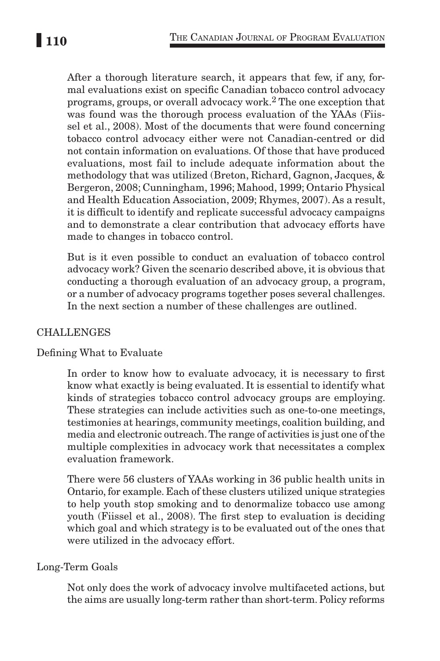After a thorough literature search, it appears that few, if any, formal evaluations exist on specific Canadian tobacco control advocacy programs, groups, or overall advocacy work.2 The one exception that was found was the thorough process evaluation of the YAAs (Fiissel et al., 2008). Most of the documents that were found concerning tobacco control advocacy either were not Canadian-centred or did not contain information on evaluations. Of those that have produced evaluations, most fail to include adequate information about the methodology that was utilized (Breton, Richard, Gagnon, Jacques, & Bergeron, 2008; Cunningham, 1996; Mahood, 1999; Ontario Physical and Health Education Association, 2009; Rhymes, 2007). As a result, it is difficult to identify and replicate successful advocacy campaigns and to demonstrate a clear contribution that advocacy efforts have made to changes in tobacco control.

But is it even possible to conduct an evaluation of tobacco control advocacy work? Given the scenario described above, it is obvious that conducting a thorough evaluation of an advocacy group, a program, or a number of advocacy programs together poses several challenges. In the next section a number of these challenges are outlined.

### **CHALLENGES**

### Defining What to Evaluate

In order to know how to evaluate advocacy, it is necessary to first know what exactly is being evaluated. It is essential to identify what kinds of strategies tobacco control advocacy groups are employing. These strategies can include activities such as one-to-one meetings, testimonies at hearings, community meetings, coalition building, and media and electronic outreach. The range of activities is just one of the multiple complexities in advocacy work that necessitates a complex evaluation framework.

There were 56 clusters of YAAs working in 36 public health units in Ontario, for example. Each of these clusters utilized unique strategies to help youth stop smoking and to denormalize tobacco use among youth (Fiissel et al., 2008). The first step to evaluation is deciding which goal and which strategy is to be evaluated out of the ones that were utilized in the advocacy effort.

### Long-Term Goals

Not only does the work of advocacy involve multifaceted actions, but the aims are usually long-term rather than short-term. Policy reforms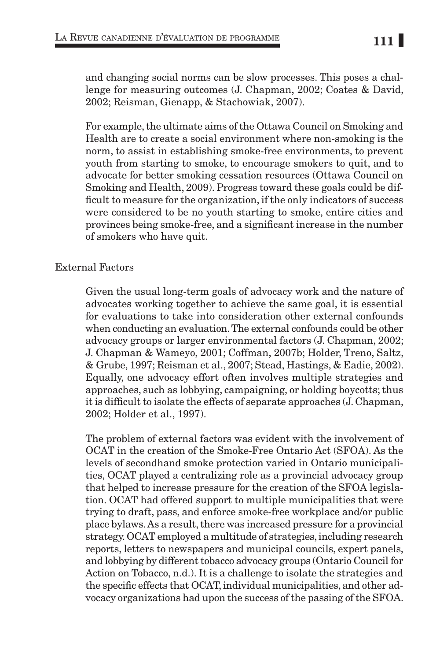and changing social norms can be slow processes. This poses a challenge for measuring outcomes (J. Chapman, 2002; Coates & David, 2002; Reisman, Gienapp, & Stachowiak, 2007).

For example, the ultimate aims of the Ottawa Council on Smoking and Health are to create a social environment where non-smoking is the norm, to assist in establishing smoke-free environments, to prevent youth from starting to smoke, to encourage smokers to quit, and to advocate for better smoking cessation resources (Ottawa Council on Smoking and Health, 2009). Progress toward these goals could be difficult to measure for the organization, if the only indicators of success were considered to be no youth starting to smoke, entire cities and provinces being smoke-free, and a significant increase in the number of smokers who have quit.

### External Factors

Given the usual long-term goals of advocacy work and the nature of advocates working together to achieve the same goal, it is essential for evaluations to take into consideration other external confounds when conducting an evaluation. The external confounds could be other advocacy groups or larger environmental factors (J. Chapman, 2002; J. Chapman & Wameyo, 2001; Coffman, 2007b; Holder, Treno, Saltz, & Grube, 1997; Reisman et al., 2007; Stead, Hastings, & Eadie, 2002). Equally, one advocacy effort often involves multiple strategies and approaches, such as lobbying, campaigning, or holding boycotts; thus it is difficult to isolate the effects of separate approaches (J. Chapman, 2002; Holder et al., 1997).

The problem of external factors was evident with the involvement of OCAT in the creation of the Smoke-Free Ontario Act (SFOA). As the levels of secondhand smoke protection varied in Ontario municipalities, OCAT played a centralizing role as a provincial advocacy group that helped to increase pressure for the creation of the SFOA legislation. OCAT had offered support to multiple municipalities that were trying to draft, pass, and enforce smoke-free workplace and/or public place bylaws. As a result, there was increased pressure for a provincial strategy. OCAT employed a multitude of strategies, including research reports, letters to newspapers and municipal councils, expert panels, and lobbying by different tobacco advocacy groups (Ontario Council for Action on Tobacco, n.d.). It is a challenge to isolate the strategies and the specific effects that OCAT, individual municipalities, and other advocacy organizations had upon the success of the passing of the SFOA.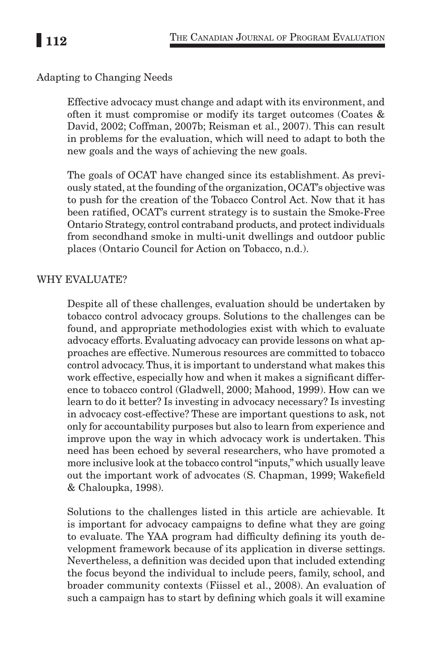# Adapting to Changing Needs

Effective advocacy must change and adapt with its environment, and often it must compromise or modify its target outcomes (Coates & David, 2002; Coffman, 2007b; Reisman et al., 2007). This can result in problems for the evaluation, which will need to adapt to both the new goals and the ways of achieving the new goals.

The goals of OCAT have changed since its establishment. As previously stated, at the founding of the organization, OCAT's objective was to push for the creation of the Tobacco Control Act. Now that it has been ratified, OCAT's current strategy is to sustain the Smoke-Free Ontario Strategy, control contraband products, and protect individuals from secondhand smoke in multi-unit dwellings and outdoor public places (Ontario Council for Action on Tobacco, n.d.).

### WHY EVALUATE?

Despite all of these challenges, evaluation should be undertaken by tobacco control advocacy groups. Solutions to the challenges can be found, and appropriate methodologies exist with which to evaluate advocacy efforts. Evaluating advocacy can provide lessons on what approaches are effective. Numerous resources are committed to tobacco control advocacy. Thus, it is important to understand what makes this work effective, especially how and when it makes a significant difference to tobacco control (Gladwell, 2000; Mahood, 1999). How can we learn to do it better? Is investing in advocacy necessary? Is investing in advocacy cost-effective? These are important questions to ask, not only for accountability purposes but also to learn from experience and improve upon the way in which advocacy work is undertaken. This need has been echoed by several researchers, who have promoted a more inclusive look at the tobacco control "inputs," which usually leave out the important work of advocates (S. Chapman, 1999; Wakefield & Chaloupka, 1998).

Solutions to the challenges listed in this article are achievable. It is important for advocacy campaigns to define what they are going to evaluate. The YAA program had difficulty defining its youth development framework because of its application in diverse settings. Nevertheless, a definition was decided upon that included extending the focus beyond the individual to include peers, family, school, and broader community contexts (Fiissel et al., 2008). An evaluation of such a campaign has to start by defining which goals it will examine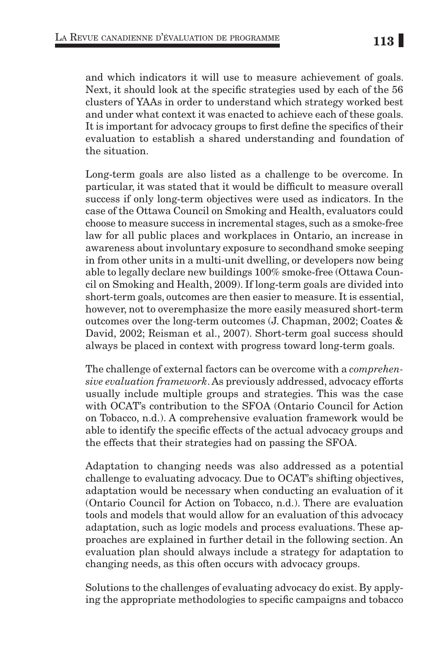and which indicators it will use to measure achievement of goals. Next, it should look at the specific strategies used by each of the 56 clusters of YAAs in order to understand which strategy worked best and under what context it was enacted to achieve each of these goals. It is important for advocacy groups to first define the specifics of their evaluation to establish a shared understanding and foundation of the situation.

Long-term goals are also listed as a challenge to be overcome. In particular, it was stated that it would be difficult to measure overall success if only long-term objectives were used as indicators. In the case of the Ottawa Council on Smoking and Health, evaluators could choose to measure success in incremental stages, such as a smoke-free law for all public places and workplaces in Ontario, an increase in awareness about involuntary exposure to secondhand smoke seeping in from other units in a multi-unit dwelling, or developers now being able to legally declare new buildings 100% smoke-free (Ottawa Council on Smoking and Health, 2009). If long-term goals are divided into short-term goals, outcomes are then easier to measure. It is essential, however, not to overemphasize the more easily measured short-term outcomes over the long-term outcomes (J. Chapman, 2002; Coates & David, 2002; Reisman et al., 2007). Short-term goal success should always be placed in context with progress toward long-term goals.

The challenge of external factors can be overcome with a *comprehensive evaluation framework*. As previously addressed, advocacy efforts usually include multiple groups and strategies. This was the case with OCAT's contribution to the SFOA (Ontario Council for Action on Tobacco, n.d.). A comprehensive evaluation framework would be able to identify the specific effects of the actual advocacy groups and the effects that their strategies had on passing the SFOA.

Adaptation to changing needs was also addressed as a potential challenge to evaluating advocacy. Due to OCAT's shifting objectives, adaptation would be necessary when conducting an evaluation of it (Ontario Council for Action on Tobacco, n.d.). There are evaluation tools and models that would allow for an evaluation of this advocacy adaptation, such as logic models and process evaluations. These approaches are explained in further detail in the following section. An evaluation plan should always include a strategy for adaptation to changing needs, as this often occurs with advocacy groups.

Solutions to the challenges of evaluating advocacy do exist. By applying the appropriate methodologies to specific campaigns and tobacco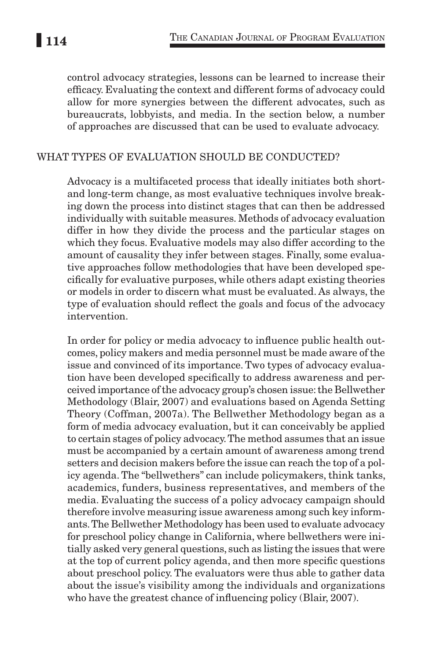control advocacy strategies, lessons can be learned to increase their efficacy. Evaluating the context and different forms of advocacy could allow for more synergies between the different advocates, such as bureaucrats, lobbyists, and media. In the section below, a number of approaches are discussed that can be used to evaluate advocacy.

#### What types of evaluation should be conducted?

Advocacy is a multifaceted process that ideally initiates both shortand long-term change, as most evaluative techniques involve breaking down the process into distinct stages that can then be addressed individually with suitable measures. Methods of advocacy evaluation differ in how they divide the process and the particular stages on which they focus. Evaluative models may also differ according to the amount of causality they infer between stages. Finally, some evaluative approaches follow methodologies that have been developed specifically for evaluative purposes, while others adapt existing theories or models in order to discern what must be evaluated. As always, the type of evaluation should reflect the goals and focus of the advocacy intervention.

In order for policy or media advocacy to influence public health outcomes, policy makers and media personnel must be made aware of the issue and convinced of its importance. Two types of advocacy evaluation have been developed specifically to address awareness and perceived importance of the advocacy group's chosen issue: the Bellwether Methodology (Blair, 2007) and evaluations based on Agenda Setting Theory (Coffman, 2007a). The Bellwether Methodology began as a form of media advocacy evaluation, but it can conceivably be applied to certain stages of policy advocacy. The method assumes that an issue must be accompanied by a certain amount of awareness among trend setters and decision makers before the issue can reach the top of a policy agenda. The "bellwethers" can include policymakers, think tanks, academics, funders, business representatives, and members of the media. Evaluating the success of a policy advocacy campaign should therefore involve measuring issue awareness among such key informants. The Bellwether Methodology has been used to evaluate advocacy for preschool policy change in California, where bellwethers were initially asked very general questions, such as listing the issues that were at the top of current policy agenda, and then more specific questions about preschool policy. The evaluators were thus able to gather data about the issue's visibility among the individuals and organizations who have the greatest chance of influencing policy (Blair, 2007).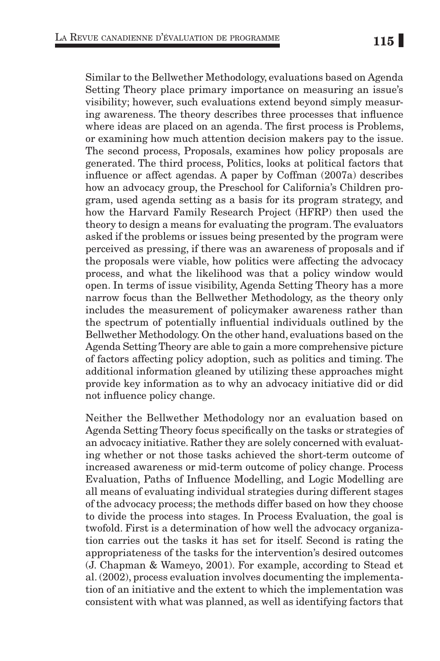Similar to the Bellwether Methodology, evaluations based on Agenda Setting Theory place primary importance on measuring an issue's visibility; however, such evaluations extend beyond simply measuring awareness. The theory describes three processes that influence where ideas are placed on an agenda. The first process is Problems, or examining how much attention decision makers pay to the issue. The second process, Proposals, examines how policy proposals are generated. The third process, Politics, looks at political factors that influence or affect agendas. A paper by Coffman (2007a) describes how an advocacy group, the Preschool for California's Children program, used agenda setting as a basis for its program strategy, and how the Harvard Family Research Project (HFRP) then used the theory to design a means for evaluating the program. The evaluators asked if the problems or issues being presented by the program were perceived as pressing, if there was an awareness of proposals and if the proposals were viable, how politics were affecting the advocacy process, and what the likelihood was that a policy window would open. In terms of issue visibility, Agenda Setting Theory has a more narrow focus than the Bellwether Methodology, as the theory only includes the measurement of policymaker awareness rather than the spectrum of potentially influential individuals outlined by the Bellwether Methodology. On the other hand, evaluations based on the Agenda Setting Theory are able to gain a more comprehensive picture of factors affecting policy adoption, such as politics and timing. The additional information gleaned by utilizing these approaches might provide key information as to why an advocacy initiative did or did not influence policy change.

Neither the Bellwether Methodology nor an evaluation based on Agenda Setting Theory focus specifically on the tasks or strategies of an advocacy initiative. Rather they are solely concerned with evaluating whether or not those tasks achieved the short-term outcome of increased awareness or mid-term outcome of policy change. Process Evaluation, Paths of Influence Modelling, and Logic Modelling are all means of evaluating individual strategies during different stages of the advocacy process; the methods differ based on how they choose to divide the process into stages. In Process Evaluation, the goal is twofold. First is a determination of how well the advocacy organization carries out the tasks it has set for itself. Second is rating the appropriateness of the tasks for the intervention's desired outcomes (J. Chapman & Wameyo, 2001). For example, according to Stead et al. (2002), process evaluation involves documenting the implementation of an initiative and the extent to which the implementation was consistent with what was planned, as well as identifying factors that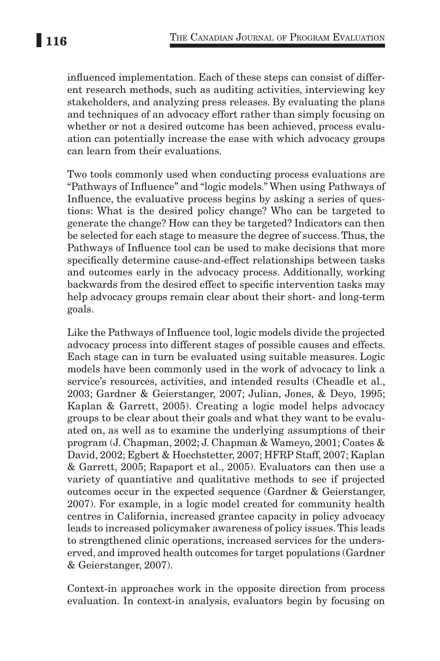influenced implementation. Each of these steps can consist of different research methods, such as auditing activities, interviewing key stakeholders, and analyzing press releases. By evaluating the plans and techniques of an advocacy effort rather than simply focusing on whether or not a desired outcome has been achieved, process evaluation can potentially increase the ease with which advocacy groups can learn from their evaluations.

Two tools commonly used when conducting process evaluations are "Pathways of Influence" and "logic models." When using Pathways of Influence, the evaluative process begins by asking a series of questions: What is the desired policy change? Who can be targeted to generate the change? How can they be targeted? Indicators can then be selected for each stage to measure the degree of success. Thus, the Pathways of Influence tool can be used to make decisions that more specifically determine cause-and-effect relationships between tasks and outcomes early in the advocacy process. Additionally, working backwards from the desired effect to specific intervention tasks may help advocacy groups remain clear about their short- and long-term goals.

Like the Pathways of Influence tool, logic models divide the projected advocacy process into different stages of possible causes and effects. Each stage can in turn be evaluated using suitable measures. Logic models have been commonly used in the work of advocacy to link a service's resources, activities, and intended results (Cheadle et al., 2003; Gardner & Geierstanger, 2007; Julian, Jones, & Deyo, 1995; Kaplan & Garrett, 2005). Creating a logic model helps advocacy groups to be clear about their goals and what they want to be evaluated on, as well as to examine the underlying assumptions of their program (J. Chapman, 2002; J. Chapman & Wameyo, 2001; Coates & David, 2002; Egbert & Hoechstetter, 2007; HFRP Staff, 2007; Kaplan & Garrett, 2005; Rapaport et al., 2005). Evaluators can then use a variety of quantiative and qualitative methods to see if projected outcomes occur in the expected sequence (Gardner & Geierstanger, 2007). For example, in a logic model created for community health centres in California, increased grantee capacity in policy advocacy leads to increased policymaker awareness of policy issues. This leads to strengthened clinic operations, increased services for the underserved, and improved health outcomes for target populations (Gardner & Geierstanger, 2007).

Context-in approaches work in the opposite direction from process evaluation. In context-in analysis, evaluators begin by focusing on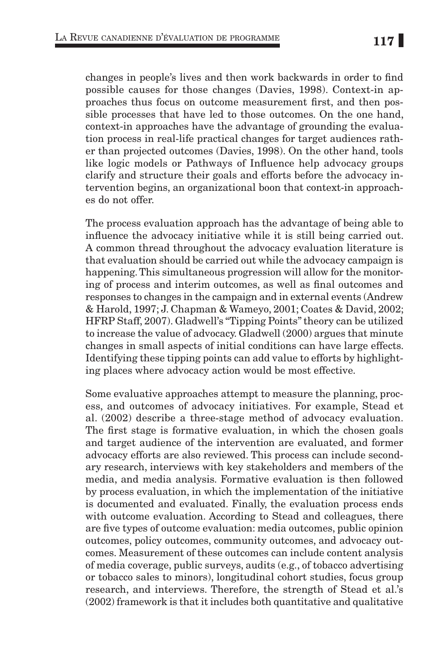changes in people's lives and then work backwards in order to find possible causes for those changes (Davies, 1998). Context-in approaches thus focus on outcome measurement first, and then possible processes that have led to those outcomes. On the one hand, context-in approaches have the advantage of grounding the evaluation process in real-life practical changes for target audiences rather than projected outcomes (Davies, 1998). On the other hand, tools like logic models or Pathways of Influence help advocacy groups clarify and structure their goals and efforts before the advocacy intervention begins, an organizational boon that context-in approaches do not offer.

The process evaluation approach has the advantage of being able to influence the advocacy initiative while it is still being carried out. A common thread throughout the advocacy evaluation literature is that evaluation should be carried out while the advocacy campaign is happening. This simultaneous progression will allow for the monitoring of process and interim outcomes, as well as final outcomes and responses to changes in the campaign and in external events (Andrew & Harold, 1997; J. Chapman & Wameyo, 2001; Coates & David, 2002; HFRP Staff, 2007). Gladwell's "Tipping Points" theory can be utilized to increase the value of advocacy. Gladwell (2000) argues that minute changes in small aspects of initial conditions can have large effects. Identifying these tipping points can add value to efforts by highlighting places where advocacy action would be most effective.

Some evaluative approaches attempt to measure the planning, process, and outcomes of advocacy initiatives. For example, Stead et al. (2002) describe a three-stage method of advocacy evaluation. The first stage is formative evaluation, in which the chosen goals and target audience of the intervention are evaluated, and former advocacy efforts are also reviewed. This process can include secondary research, interviews with key stakeholders and members of the media, and media analysis. Formative evaluation is then followed by process evaluation, in which the implementation of the initiative is documented and evaluated. Finally, the evaluation process ends with outcome evaluation. According to Stead and colleagues, there are five types of outcome evaluation: media outcomes, public opinion outcomes, policy outcomes, community outcomes, and advocacy outcomes. Measurement of these outcomes can include content analysis of media coverage, public surveys, audits (e.g., of tobacco advertising or tobacco sales to minors), longitudinal cohort studies, focus group research, and interviews. Therefore, the strength of Stead et al.'s (2002) framework is that it includes both quantitative and qualitative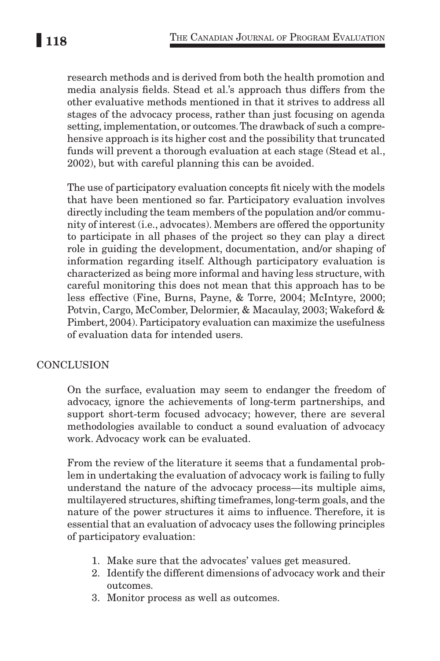research methods and is derived from both the health promotion and media analysis fields. Stead et al.'s approach thus differs from the other evaluative methods mentioned in that it strives to address all stages of the advocacy process, rather than just focusing on agenda setting, implementation, or outcomes. The drawback of such a comprehensive approach is its higher cost and the possibility that truncated funds will prevent a thorough evaluation at each stage (Stead et al., 2002), but with careful planning this can be avoided.

The use of participatory evaluation concepts fit nicely with the models that have been mentioned so far. Participatory evaluation involves directly including the team members of the population and/or community of interest (i.e., advocates). Members are offered the opportunity to participate in all phases of the project so they can play a direct role in guiding the development, documentation, and/or shaping of information regarding itself. Although participatory evaluation is characterized as being more informal and having less structure, with careful monitoring this does not mean that this approach has to be less effective (Fine, Burns, Payne, & Torre, 2004; McIntyre, 2000; Potvin, Cargo, McComber, Delormier, & Macaulay, 2003; Wakeford & Pimbert, 2004). Participatory evaluation can maximize the usefulness of evaluation data for intended users.

# **CONCLUSION**

On the surface, evaluation may seem to endanger the freedom of advocacy, ignore the achievements of long-term partnerships, and support short-term focused advocacy; however, there are several methodologies available to conduct a sound evaluation of advocacy work. Advocacy work can be evaluated.

From the review of the literature it seems that a fundamental problem in undertaking the evaluation of advocacy work is failing to fully understand the nature of the advocacy process—its multiple aims, multilayered structures, shifting timeframes, long-term goals, and the nature of the power structures it aims to influence. Therefore, it is essential that an evaluation of advocacy uses the following principles of participatory evaluation:

- 1. Make sure that the advocates' values get measured.
- 2. Identify the different dimensions of advocacy work and their outcomes.
- 3. Monitor process as well as outcomes.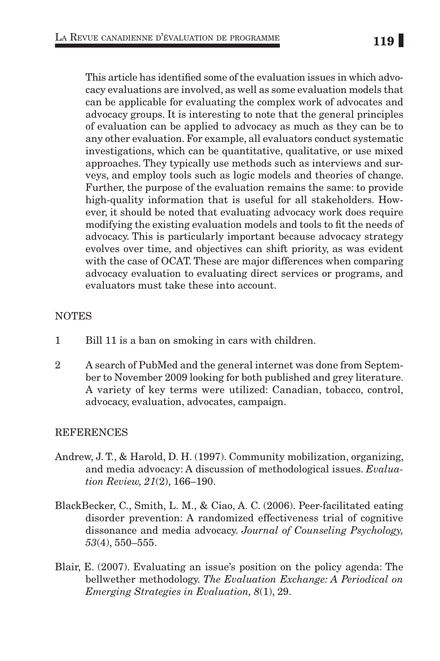This article has identified some of the evaluation issues in which advocacy evaluations are involved, as well as some evaluation models that can be applicable for evaluating the complex work of advocates and advocacy groups. It is interesting to note that the general principles of evaluation can be applied to advocacy as much as they can be to any other evaluation. For example, all evaluators conduct systematic investigations, which can be quantitative, qualitative, or use mixed approaches. They typically use methods such as interviews and surveys, and employ tools such as logic models and theories of change. Further, the purpose of the evaluation remains the same: to provide high-quality information that is useful for all stakeholders. However, it should be noted that evaluating advocacy work does require modifying the existing evaluation models and tools to fit the needs of advocacy. This is particularly important because advocacy strategy evolves over time, and objectives can shift priority, as was evident with the case of OCAT. These are major differences when comparing advocacy evaluation to evaluating direct services or programs, and evaluators must take these into account.

### **NOTES**

- 1 Bill 11 is a ban on smoking in cars with children.
- 2 A search of PubMed and the general internet was done from September to November 2009 looking for both published and grey literature. A variety of key terms were utilized: Canadian, tobacco, control, advocacy, evaluation, advocates, campaign.

### **REFERENCES**

- Andrew, J. T., & Harold, D. H. (1997). Community mobilization, organizing, and media advocacy: A discussion of methodological issues. *Evaluation Review, 21*(2), 166–190.
- BlackBecker, C., Smith, L. M., & Ciao, A. C. (2006). Peer-facilitated eating disorder prevention: A randomized effectiveness trial of cognitive dissonance and media advocacy. *Journal of Counseling Psychology, 53*(4), 550–555.
- Blair, E. (2007). Evaluating an issue's position on the policy agenda: The bellwether methodology. *The Evaluation Exchange: A Periodical on Emerging Strategies in Evaluation, 8*(1), 29.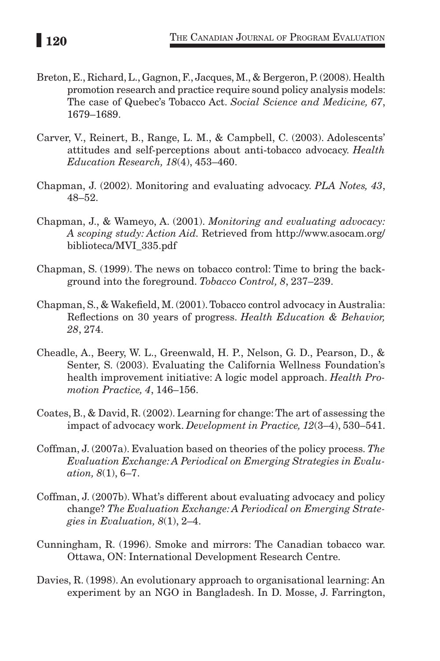- Breton, E., Richard, L., Gagnon, F., Jacques, M., & Bergeron, P. (2008). Health promotion research and practice require sound policy analysis models: The case of Quebec's Tobacco Act. *Social Science and Medicine, 67*, 1679–1689.
- Carver, V., Reinert, B., Range, L. M., & Campbell, C. (2003). Adolescents' attitudes and self-perceptions about anti-tobacco advocacy. *Health Education Research, 18*(4), 453–460.
- Chapman, J. (2002). Monitoring and evaluating advocacy. *PLA Notes, 43*, 48–52.
- Chapman, J., & Wameyo, A. (2001). *Monitoring and evaluating advocacy: A scoping study: Action Aid.* Retrieved from http://www.asocam.org/ biblioteca/MVI\_335.pdf
- Chapman, S. (1999). The news on tobacco control: Time to bring the background into the foreground. *Tobacco Control, 8*, 237–239.
- Chapman, S., & Wakefield, M. (2001). Tobacco control advocacy in Australia: Reflections on 30 years of progress. *Health Education & Behavior, 28*, 274.
- Cheadle, A., Beery, W. L., Greenwald, H. P., Nelson, G. D., Pearson, D., & Senter, S. (2003). Evaluating the California Wellness Foundation's health improvement initiative: A logic model approach. *Health Promotion Practice, 4*, 146–156.
- Coates, B., & David, R. (2002). Learning for change: The art of assessing the impact of advocacy work. *Development in Practice, 12*(3–4), 530–541.
- Coffman, J. (2007a). Evaluation based on theories of the policy process. *The Evaluation Exchange: A Periodical on Emerging Strategies in Evaluation, 8*(1), 6–7.
- Coffman, J. (2007b). What's different about evaluating advocacy and policy change? *The Evaluation Exchange: A Periodical on Emerging Strategies in Evaluation, 8*(1), 2–4.
- Cunningham, R. (1996). Smoke and mirrors: The Canadian tobacco war. Ottawa, ON: International Development Research Centre.
- Davies, R. (1998). An evolutionary approach to organisational learning: An experiment by an NGO in Bangladesh. In D. Mosse, J. Farrington,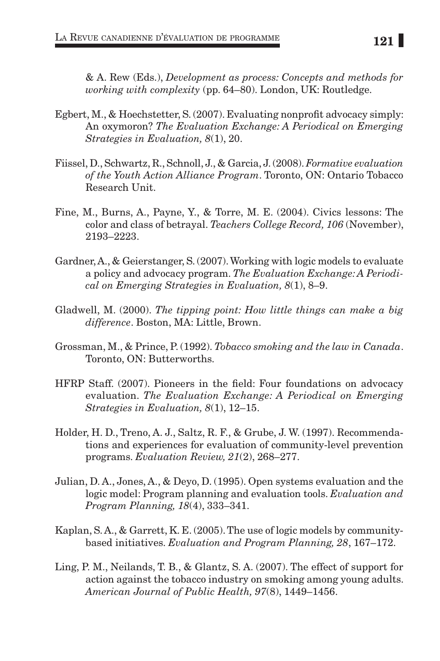& A. Rew (Eds.), *Development as process: Concepts and methods for working with complexity* (pp. 64–80). London, UK: Routledge.

- Egbert, M., & Hoechstetter, S. (2007). Evaluating nonprofit advocacy simply: An oxymoron? *The Evaluation Exchange: A Periodical on Emerging Strategies in Evaluation, 8*(1), 20.
- Fiissel, D., Schwartz, R., Schnoll, J., & Garcia, J. (2008). *Formative evaluation of the Youth Action Alliance Program*. Toronto, ON: Ontario Tobacco Research Unit.
- Fine, M., Burns, A., Payne, Y., & Torre, M. E. (2004). Civics lessons: The color and class of betrayal. *Teachers College Record, 106* (November), 2193–2223.
- Gardner, A., & Geierstanger, S. (2007). Working with logic models to evaluate a policy and advocacy program. *The Evaluation Exchange: A Periodical on Emerging Strategies in Evaluation, 8*(1), 8–9.
- Gladwell, M. (2000). *The tipping point: How little things can make a big difference*. Boston, MA: Little, Brown.
- Grossman, M., & Prince, P. (1992). *Tobacco smoking and the law in Canada*. Toronto, ON: Butterworths.
- HFRP Staff. (2007). Pioneers in the field: Four foundations on advocacy evaluation. *The Evaluation Exchange: A Periodical on Emerging Strategies in Evaluation, 8*(1), 12–15.
- Holder, H. D., Treno, A. J., Saltz, R. F., & Grube, J. W. (1997). Recommendations and experiences for evaluation of community-level prevention programs. *Evaluation Review, 21*(2), 268–277.
- Julian, D. A., Jones, A., & Deyo, D. (1995). Open systems evaluation and the logic model: Program planning and evaluation tools. *Evaluation and Program Planning, 18*(4), 333–341.
- Kaplan, S. A., & Garrett, K. E. (2005). The use of logic models by communitybased initiatives. *Evaluation and Program Planning, 28*, 167–172.
- Ling, P. M., Neilands, T. B., & Glantz, S. A. (2007). The effect of support for action against the tobacco industry on smoking among young adults. *American Journal of Public Health, 97*(8), 1449–1456.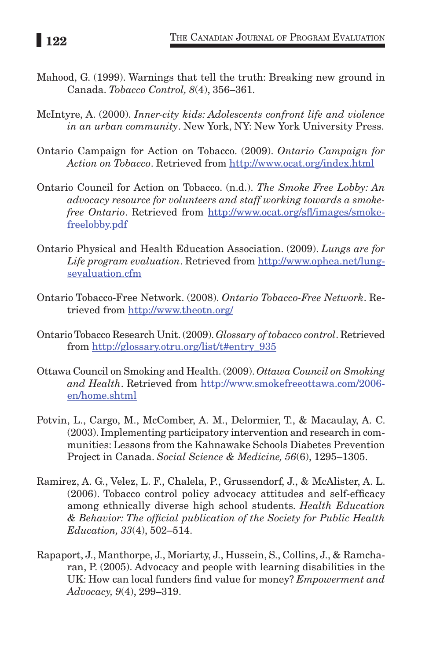- Mahood, G. (1999). Warnings that tell the truth: Breaking new ground in Canada. *Tobacco Control, 8*(4), 356–361.
- McIntyre, A. (2000). *Inner-city kids: Adolescents confront life and violence in an urban community*. New York, NY: New York University Press.
- Ontario Campaign for Action on Tobacco. (2009). *Ontario Campaign for Action on Tobacco*. Retrieved from http://www.ocat.org/index.html
- Ontario Council for Action on Tobacco. (n.d.). *The Smoke Free Lobby: An advocacy resource for volunteers and staff working towards a smokefree Ontario*. Retrieved from http://www.ocat.org/sfl/images/smokefreelobby.pdf
- Ontario Physical and Health Education Association. (2009). *Lungs are for Life program evaluation*. Retrieved from http://www.ophea.net/lungsevaluation.cfm
- Ontario Tobacco-Free Network. (2008). *Ontario Tobacco-Free Network*. Retrieved from http://www.theotn.org/
- Ontario Tobacco Research Unit. (2009). *Glossary of tobacco control*. Retrieved from http://glossary.otru.org/list/t#entry\_935
- Ottawa Council on Smoking and Health. (2009). *Ottawa Council on Smoking and Health*. Retrieved from http://www.smokefreeottawa.com/2006 en/home.shtml
- Potvin, L., Cargo, M., McComber, A. M., Delormier, T., & Macaulay, A. C. (2003). Implementing participatory intervention and research in communities: Lessons from the Kahnawake Schools Diabetes Prevention Project in Canada. *Social Science & Medicine, 56*(6), 1295–1305.
- Ramirez, A. G., Velez, L. F., Chalela, P., Grussendorf, J., & McAlister, A. L. (2006). Tobacco control policy advocacy attitudes and self-efficacy among ethnically diverse high school students. *Health Education & Behavior: The official publication of the Society for Public Health Education, 33*(4), 502–514.
- Rapaport, J., Manthorpe, J., Moriarty, J., Hussein, S., Collins, J., & Ramcharan, P. (2005). Advocacy and people with learning disabilities in the UK: How can local funders find value for money? *Empowerment and Advocacy, 9*(4), 299–319.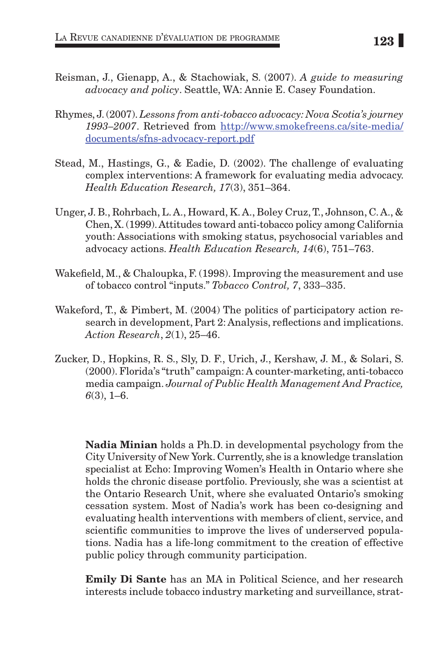- Reisman, J., Gienapp, A., & Stachowiak, S. (2007). *A guide to measuring advocacy and policy*. Seattle, WA: Annie E. Casey Foundation.
- Rhymes, J. (2007). *Lessons from anti-tobacco advocacy: Nova Scotia's journey 1993–2007*. Retrieved from http://www.smokefreens.ca/site-media/ documents/sfns-advocacy-report.pdf
- Stead, M., Hastings, G., & Eadie, D. (2002). The challenge of evaluating complex interventions: A framework for evaluating media advocacy. *Health Education Research, 17*(3), 351–364.
- Unger, J. B., Rohrbach, L. A., Howard, K. A., Boley Cruz, T., Johnson, C. A., & Chen, X. (1999). Attitudes toward anti-tobacco policy among California youth: Associations with smoking status, psychosocial variables and advocacy actions. *Health Education Research, 14*(6), 751–763.
- Wakefield, M., & Chaloupka, F. (1998). Improving the measurement and use of tobacco control "inputs." *Tobacco Control, 7*, 333–335.
- Wakeford, T., & Pimbert, M. (2004) The politics of participatory action research in development, Part 2: Analysis, reflections and implications. *Action Research*, *2*(1), 25–46.
- Zucker, D., Hopkins, R. S., Sly, D. F., Urich, J., Kershaw, J. M., & Solari, S. (2000). Florida's "truth" campaign: A counter-marketing, anti-tobacco media campaign. *Journal of Public Health Management And Practice, 6*(3), 1–6.

Nadia Minian holds a Ph.D. in developmental psychology from the City University of New York. Currently, she is a knowledge translation specialist at Echo: Improving Women's Health in Ontario where she holds the chronic disease portfolio. Previously, she was a scientist at the Ontario Research Unit, where she evaluated Ontario's smoking cessation system. Most of Nadia's work has been co-designing and evaluating health interventions with members of client, service, and scientific communities to improve the lives of underserved populations. Nadia has a life-long commitment to the creation of effective public policy through community participation.

Emily Di Sante has an MA in Political Science, and her research interests include tobacco industry marketing and surveillance, strat